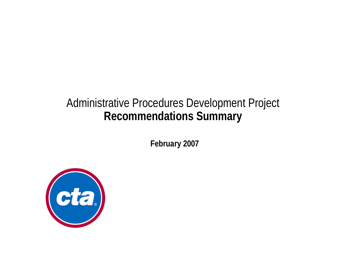# Administrative Procedures Development Project **Recommendations Summary**

**February 2007**

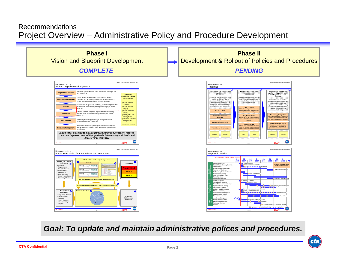#### RecommendationsProject Overview – Administrative Policy and Procedure Development



### *Goal: To update and maintain administrative polices and procedures.*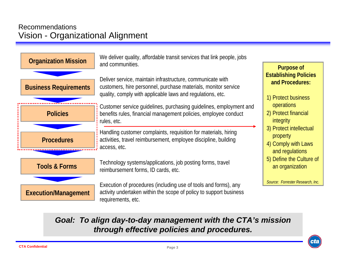## RecommendationsVision - Organizational Alignment



# *Goal: To align day-to-day management with the CTA's mission through effective policies and procedures.*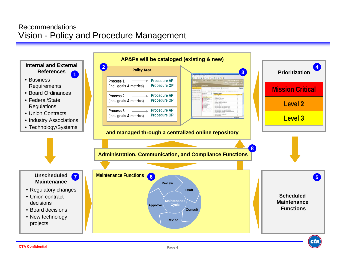### RecommendationsVision - Policy and Procedure Management

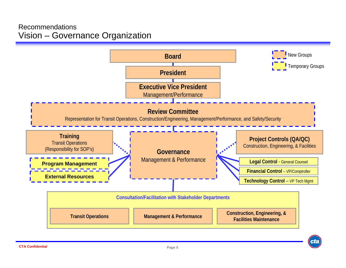#### RecommendationsVision – Governance Organization

![](_page_4_Figure_1.jpeg)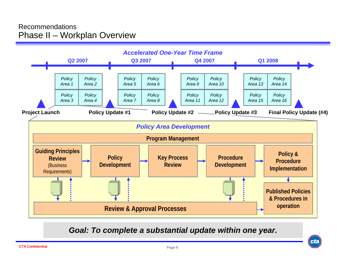#### RecommendationsPhase II – Workplan Overview

![](_page_5_Figure_1.jpeg)

*Goal: To complete a substantial update within one year.*

![](_page_5_Picture_3.jpeg)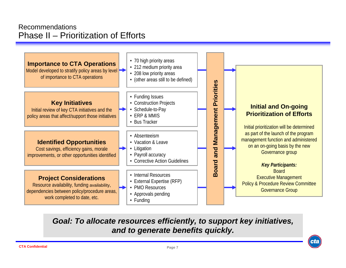#### RecommendationsPhase II – Prioritization of Efforts

![](_page_6_Figure_1.jpeg)

*Goal: To allocate resources efficiently, to support key initiatives, and to generate benefits quickly.*